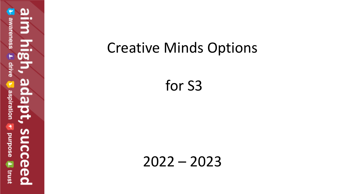വ  $\overline{3}$ awareness drive ada aspiration  $\blacktriangleleft$ succe **anrpose** Trust ര

# Creative Minds Options

for S3

2022 – 2023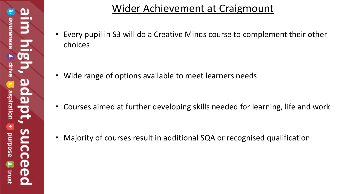### Wider Achievement at Craigmount

• Every pupil in S3 will do a Creative Minds course to complement their other choices

• Wide range of options available to meet learners needs

• Courses aimed at further developing skills needed for learning, life and work

• Majority of courses result in additional SQA or recognised qualification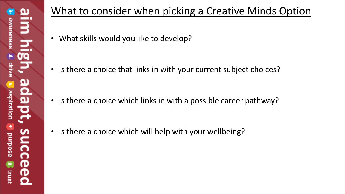## What to consider when picking a Creative Minds Option

• What skills would you like to develop?

• Is there a choice that links in with your current subject choices?

• Is there a choice which links in with a possible career pathway?

• Is there a choice which will help with your wellbeing?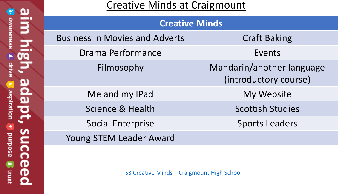#### Creative Minds at Craigmount

| <b>Creative Minds</b>                 |                                                    |
|---------------------------------------|----------------------------------------------------|
| <b>Business in Movies and Adverts</b> | <b>Craft Baking</b>                                |
| Drama Performance                     | Events                                             |
| Filmosophy                            | Mandarin/another language<br>(introductory course) |
| Me and my IPad                        | My Website                                         |
| <b>Science &amp; Health</b>           | <b>Scottish Studies</b>                            |
| <b>Social Enterprise</b>              | <b>Sports Leaders</b>                              |
| Young STEM Leader Award               |                                                    |